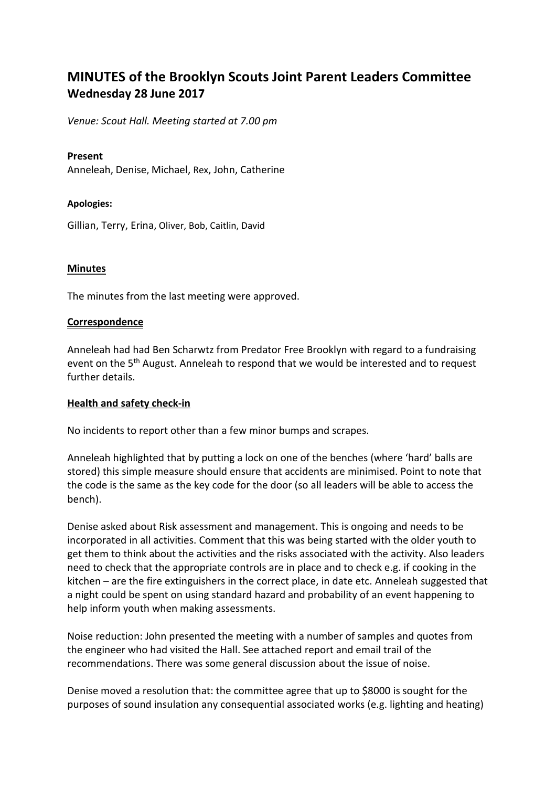# **MINUTES of the Brooklyn Scouts Joint Parent Leaders Committee Wednesday 28 June 2017**

*Venue: Scout Hall. Meeting started at 7.00 pm*

#### **Present**

Anneleah, Denise, Michael, Rex, John, Catherine

#### **Apologies:**

Gillian, Terry, Erina, Oliver, Bob, Caitlin, David

#### **Minutes**

The minutes from the last meeting were approved.

#### **Correspondence**

Anneleah had had Ben Scharwtz from Predator Free Brooklyn with regard to a fundraising event on the 5<sup>th</sup> August. Anneleah to respond that we would be interested and to request further details.

#### **Health and safety check-in**

No incidents to report other than a few minor bumps and scrapes.

Anneleah highlighted that by putting a lock on one of the benches (where 'hard' balls are stored) this simple measure should ensure that accidents are minimised. Point to note that the code is the same as the key code for the door (so all leaders will be able to access the bench).

Denise asked about Risk assessment and management. This is ongoing and needs to be incorporated in all activities. Comment that this was being started with the older youth to get them to think about the activities and the risks associated with the activity. Also leaders need to check that the appropriate controls are in place and to check e.g. if cooking in the kitchen – are the fire extinguishers in the correct place, in date etc. Anneleah suggested that a night could be spent on using standard hazard and probability of an event happening to help inform youth when making assessments.

Noise reduction: John presented the meeting with a number of samples and quotes from the engineer who had visited the Hall. See attached report and email trail of the recommendations. There was some general discussion about the issue of noise.

Denise moved a resolution that: the committee agree that up to \$8000 is sought for the purposes of sound insulation any consequential associated works (e.g. lighting and heating)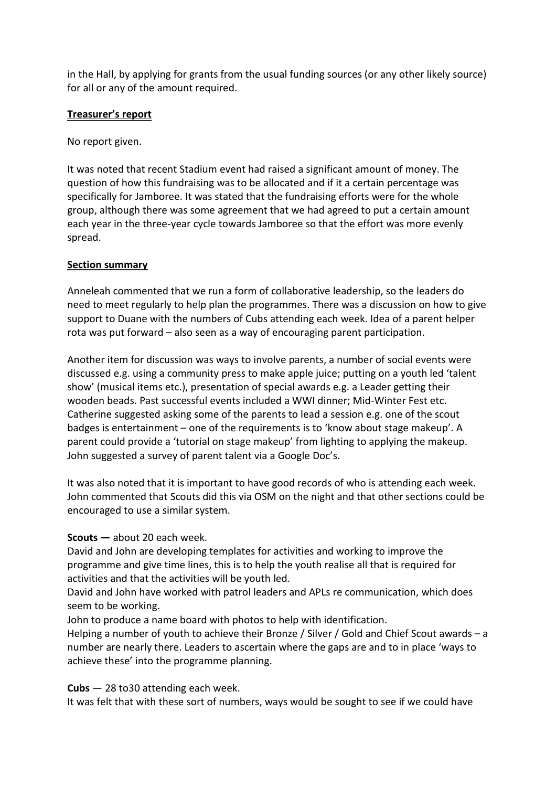in the Hall, by applying for grants from the usual funding sources (or any other likely source) for all or any of the amount required.

## **Treasurer's report**

No report given.

It was noted that recent Stadium event had raised a significant amount of money. The question of how this fundraising was to be allocated and if it a certain percentage was specifically for Jamboree. It was stated that the fundraising efforts were for the whole group, although there was some agreement that we had agreed to put a certain amount each year in the three-year cycle towards Jamboree so that the effort was more evenly spread.

## **Section summary**

Anneleah commented that we run a form of collaborative leadership, so the leaders do need to meet regularly to help plan the programmes. There was a discussion on how to give support to Duane with the numbers of Cubs attending each week. Idea of a parent helper rota was put forward – also seen as a way of encouraging parent participation.

Another item for discussion was ways to involve parents, a number of social events were discussed e.g. using a community press to make apple juice; putting on a youth led 'talent show' (musical items etc.), presentation of special awards e.g. a Leader getting their wooden beads. Past successful events included a WWI dinner; Mid-Winter Fest etc. Catherine suggested asking some of the parents to lead a session e.g. one of the scout badges is entertainment – one of the requirements is to 'know about stage makeup'. A parent could provide a 'tutorial on stage makeup' from lighting to applying the makeup. John suggested a survey of parent talent via a Google Doc's.

It was also noted that it is important to have good records of who is attending each week. John commented that Scouts did this via OSM on the night and that other sections could be encouraged to use a similar system.

## **Scouts —** about 20 each week.

David and John are developing templates for activities and working to improve the programme and give time lines, this is to help the youth realise all that is required for activities and that the activities will be youth led.

David and John have worked with patrol leaders and APLs re communication, which does seem to be working.

John to produce a name board with photos to help with identification.

Helping a number of youth to achieve their Bronze / Silver / Gold and Chief Scout awards – a number are nearly there. Leaders to ascertain where the gaps are and to in place 'ways to achieve these' into the programme planning.

**Cubs** — 28 to30 attending each week.

It was felt that with these sort of numbers, ways would be sought to see if we could have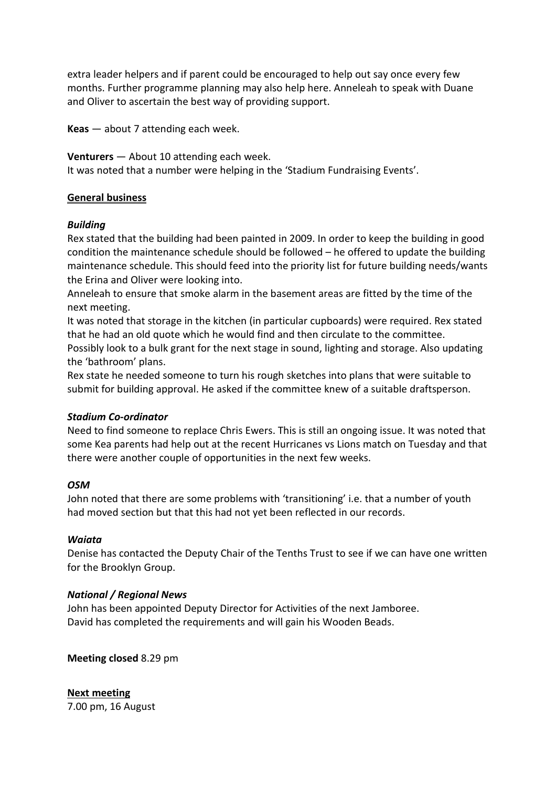extra leader helpers and if parent could be encouraged to help out say once every few months. Further programme planning may also help here. Anneleah to speak with Duane and Oliver to ascertain the best way of providing support.

**Keas** — about 7 attending each week.

**Venturers** — About 10 attending each week.

It was noted that a number were helping in the 'Stadium Fundraising Events'.

## **General business**

#### *Building*

Rex stated that the building had been painted in 2009. In order to keep the building in good condition the maintenance schedule should be followed – he offered to update the building maintenance schedule. This should feed into the priority list for future building needs/wants the Erina and Oliver were looking into.

Anneleah to ensure that smoke alarm in the basement areas are fitted by the time of the next meeting.

It was noted that storage in the kitchen (in particular cupboards) were required. Rex stated that he had an old quote which he would find and then circulate to the committee. Possibly look to a bulk grant for the next stage in sound, lighting and storage. Also updating the 'bathroom' plans.

Rex state he needed someone to turn his rough sketches into plans that were suitable to submit for building approval. He asked if the committee knew of a suitable draftsperson.

## *Stadium Co-ordinator*

Need to find someone to replace Chris Ewers. This is still an ongoing issue. It was noted that some Kea parents had help out at the recent Hurricanes vs Lions match on Tuesday and that there were another couple of opportunities in the next few weeks.

## *OSM*

John noted that there are some problems with 'transitioning' i.e. that a number of youth had moved section but that this had not yet been reflected in our records.

## *Waiata*

Denise has contacted the Deputy Chair of the Tenths Trust to see if we can have one written for the Brooklyn Group.

## *National / Regional News*

John has been appointed Deputy Director for Activities of the next Jamboree. David has completed the requirements and will gain his Wooden Beads.

**Meeting closed** 8.29 pm

**Next meeting** 7.00 pm, 16 August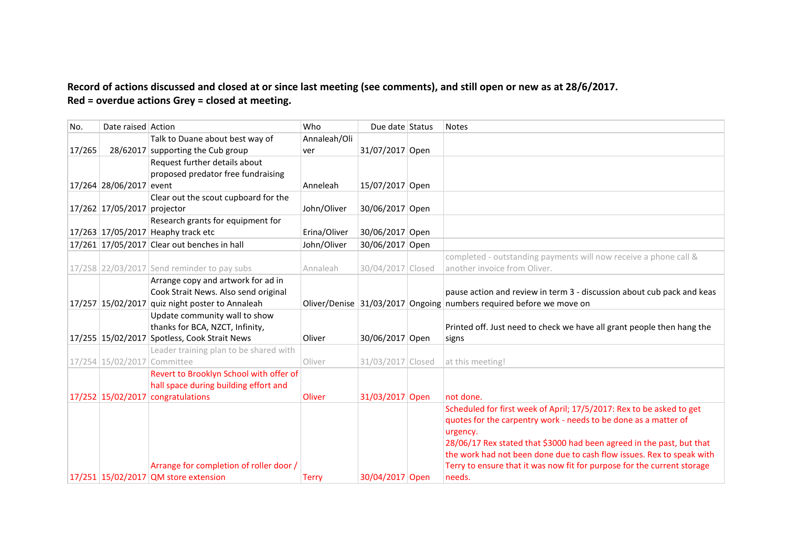# Record of actions discussed and closed at or since last meeting (see comments), and still open or new as at 28/6/2017. **Red = overdue actions Grey = closed at meeting.**

| No.    | Date raised Action          |                                                                                 | Who          | Due date Status   | <b>Notes</b>                                                                                                                                   |
|--------|-----------------------------|---------------------------------------------------------------------------------|--------------|-------------------|------------------------------------------------------------------------------------------------------------------------------------------------|
|        |                             | Talk to Duane about best way of                                                 | Annaleah/Oli |                   |                                                                                                                                                |
| 17/265 |                             | 28/62017 supporting the Cub group                                               | ver          | 31/07/2017 Open   |                                                                                                                                                |
|        |                             | Request further details about                                                   |              |                   |                                                                                                                                                |
|        |                             | proposed predator free fundraising                                              |              |                   |                                                                                                                                                |
|        | 17/264 28/06/2017 event     |                                                                                 | Anneleah     | 15/07/2017 Open   |                                                                                                                                                |
|        |                             | Clear out the scout cupboard for the                                            |              |                   |                                                                                                                                                |
|        | 17/262 17/05/2017 projector |                                                                                 | John/Oliver  | 30/06/2017 Open   |                                                                                                                                                |
|        |                             | Research grants for equipment for                                               |              |                   |                                                                                                                                                |
|        |                             | 17/263 17/05/2017 Heaphy track etc                                              | Erina/Oliver | 30/06/2017 Open   |                                                                                                                                                |
|        |                             | 17/261 17/05/2017 Clear out benches in hall                                     | John/Oliver  | 30/06/2017 Open   |                                                                                                                                                |
|        |                             |                                                                                 |              |                   | completed - outstanding payments will now receive a phone call &                                                                               |
|        |                             | 17/258 22/03/2017 Send reminder to pay subs                                     | Annaleah     | 30/04/2017 Closed | another invoice from Oliver.                                                                                                                   |
|        |                             | Arrange copy and artwork for ad in                                              |              |                   |                                                                                                                                                |
|        |                             | Cook Strait News. Also send original                                            |              |                   | pause action and review in term 3 - discussion about cub pack and keas                                                                         |
|        |                             | 17/257 15/02/2017 quiz night poster to Annaleah                                 |              |                   | Oliver/Denise 31/03/2017 Ongoing numbers required before we move on                                                                            |
|        |                             | Update community wall to show                                                   |              |                   |                                                                                                                                                |
|        |                             | thanks for BCA, NZCT, Infinity,                                                 |              |                   | Printed off. Just need to check we have all grant people then hang the                                                                         |
|        |                             | 17/255 15/02/2017 Spotless, Cook Strait News                                    | Oliver       | 30/06/2017 Open   | signs                                                                                                                                          |
|        |                             | Leader training plan to be shared with                                          |              |                   |                                                                                                                                                |
|        | 17/254 15/02/2017 Committee |                                                                                 | Oliver       | 31/03/2017 Closed | at this meeting!                                                                                                                               |
|        |                             | Revert to Brooklyn School with offer of                                         |              |                   |                                                                                                                                                |
|        |                             | hall space during building effort and                                           |              |                   |                                                                                                                                                |
|        |                             | 17/252 15/02/2017 congratulations                                               | Oliver       | 31/03/2017 Open   | not done.                                                                                                                                      |
|        |                             |                                                                                 |              |                   | Scheduled for first week of April; 17/5/2017: Rex to be asked to get                                                                           |
|        |                             |                                                                                 |              |                   | quotes for the carpentry work - needs to be done as a matter of                                                                                |
|        |                             |                                                                                 |              |                   | urgency.                                                                                                                                       |
|        |                             |                                                                                 |              |                   | 28/06/17 Rex stated that \$3000 had been agreed in the past, but that<br>the work had not been done due to cash flow issues. Rex to speak with |
|        |                             |                                                                                 |              |                   |                                                                                                                                                |
|        |                             |                                                                                 |              |                   |                                                                                                                                                |
|        |                             | Arrange for completion of roller door /<br>17/251 15/02/2017 QM store extension | <b>Terry</b> | 30/04/2017 Open   | Terry to ensure that it was now fit for purpose for the current storage<br>needs.                                                              |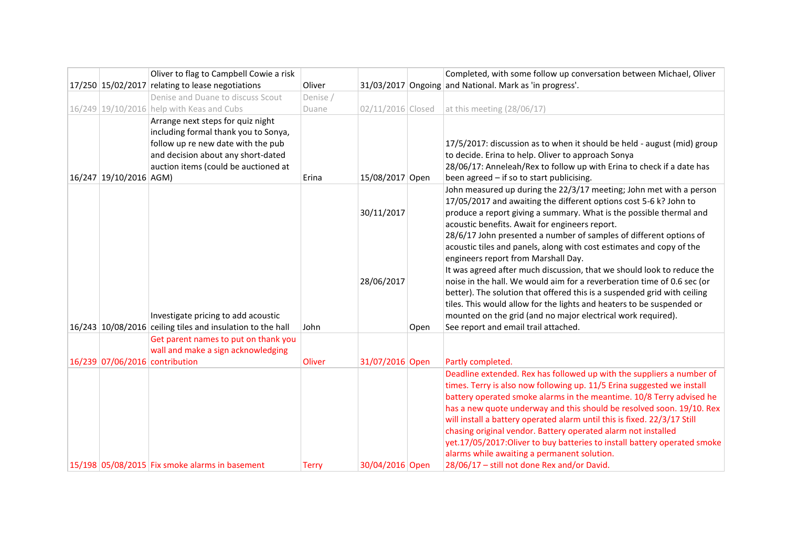|                                | Oliver to flag to Campbell Cowie a risk                                                                                                                                                       |          |                          |      | Completed, with some follow up conversation between Michael, Oliver                                                                                                                                                                                                                                                                                                                                                                                                                                                                                                                                                                                                                                                                                                                                                                                                      |
|--------------------------------|-----------------------------------------------------------------------------------------------------------------------------------------------------------------------------------------------|----------|--------------------------|------|--------------------------------------------------------------------------------------------------------------------------------------------------------------------------------------------------------------------------------------------------------------------------------------------------------------------------------------------------------------------------------------------------------------------------------------------------------------------------------------------------------------------------------------------------------------------------------------------------------------------------------------------------------------------------------------------------------------------------------------------------------------------------------------------------------------------------------------------------------------------------|
|                                | 17/250 15/02/2017 relating to lease negotiations                                                                                                                                              | Oliver   |                          |      | 31/03/2017 Ongoing and National. Mark as 'in progress'.                                                                                                                                                                                                                                                                                                                                                                                                                                                                                                                                                                                                                                                                                                                                                                                                                  |
|                                | Denise and Duane to discuss Scout                                                                                                                                                             | Denise / |                          |      |                                                                                                                                                                                                                                                                                                                                                                                                                                                                                                                                                                                                                                                                                                                                                                                                                                                                          |
|                                | 16/249 19/10/2016 help with Keas and Cubs                                                                                                                                                     | Duane    | 02/11/2016 Closed        |      | at this meeting $(28/06/17)$                                                                                                                                                                                                                                                                                                                                                                                                                                                                                                                                                                                                                                                                                                                                                                                                                                             |
| 16/247 19/10/2016 AGM)         | Arrange next steps for quiz night<br>including formal thank you to Sonya,<br>follow up re new date with the pub<br>and decision about any short-dated<br>auction items (could be auctioned at | Erina    | 15/08/2017 Open          |      | 17/5/2017: discussion as to when it should be held - august (mid) group<br>to decide. Erina to help. Oliver to approach Sonya<br>28/06/17: Anneleah/Rex to follow up with Erina to check if a date has<br>been agreed - if so to start publicising.                                                                                                                                                                                                                                                                                                                                                                                                                                                                                                                                                                                                                      |
|                                | Investigate pricing to add acoustic<br>16/243 10/08/2016 ceiling tiles and insulation to the hall                                                                                             | John     | 30/11/2017<br>28/06/2017 |      | John measured up during the 22/3/17 meeting; John met with a person<br>17/05/2017 and awaiting the different options cost 5-6 k? John to<br>produce a report giving a summary. What is the possible thermal and<br>acoustic benefits. Await for engineers report.<br>28/6/17 John presented a number of samples of different options of<br>acoustic tiles and panels, along with cost estimates and copy of the<br>engineers report from Marshall Day.<br>It was agreed after much discussion, that we should look to reduce the<br>noise in the hall. We would aim for a reverberation time of 0.6 sec (or<br>better). The solution that offered this is a suspended grid with ceiling<br>tiles. This would allow for the lights and heaters to be suspended or<br>mounted on the grid (and no major electrical work required).<br>See report and email trail attached. |
|                                | Get parent names to put on thank you                                                                                                                                                          |          |                          | Open |                                                                                                                                                                                                                                                                                                                                                                                                                                                                                                                                                                                                                                                                                                                                                                                                                                                                          |
|                                | wall and make a sign acknowledging                                                                                                                                                            |          |                          |      |                                                                                                                                                                                                                                                                                                                                                                                                                                                                                                                                                                                                                                                                                                                                                                                                                                                                          |
| 16/239 07/06/2016 contribution |                                                                                                                                                                                               | Oliver   | 31/07/2016 Open          |      | Partly completed.                                                                                                                                                                                                                                                                                                                                                                                                                                                                                                                                                                                                                                                                                                                                                                                                                                                        |
|                                | 15/198 05/08/2015 Fix smoke alarms in basement                                                                                                                                                | Terry    | 30/04/2016 Open          |      | Deadline extended. Rex has followed up with the suppliers a number of<br>times. Terry is also now following up. 11/5 Erina suggested we install<br>battery operated smoke alarms in the meantime. 10/8 Terry advised he<br>has a new quote underway and this should be resolved soon. 19/10. Rex<br>will install a battery operated alarm until this is fixed. 22/3/17 Still<br>chasing original vendor. Battery operated alarm not installed<br>yet.17/05/2017: Oliver to buy batteries to install battery operated smoke<br>alarms while awaiting a permanent solution.<br>28/06/17 - still not done Rex and/or David.                                                                                                                                                                                                                                                 |